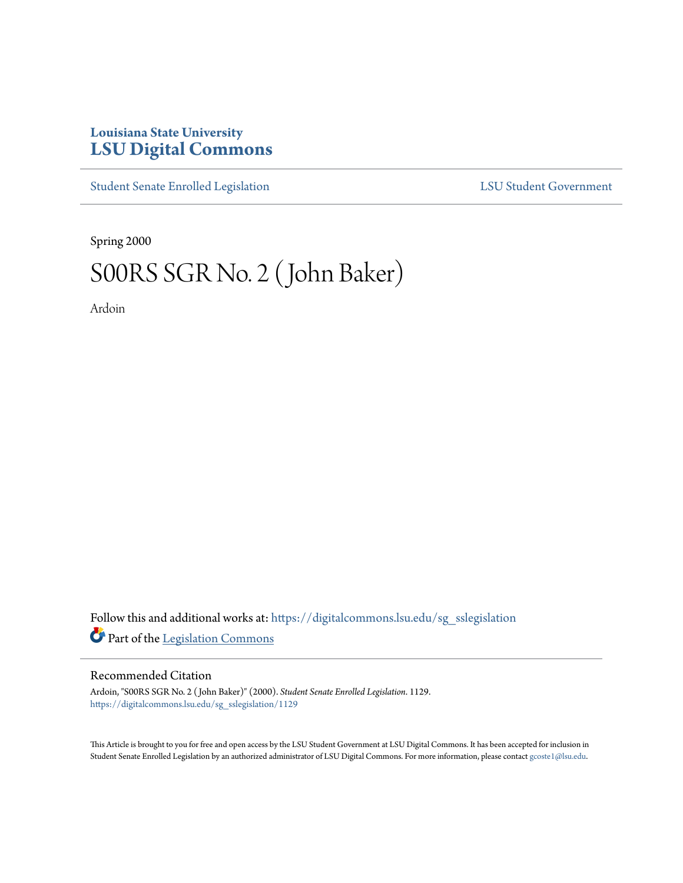# **Louisiana State University [LSU Digital Commons](https://digitalcommons.lsu.edu?utm_source=digitalcommons.lsu.edu%2Fsg_sslegislation%2F1129&utm_medium=PDF&utm_campaign=PDFCoverPages)**

[Student Senate Enrolled Legislation](https://digitalcommons.lsu.edu/sg_sslegislation?utm_source=digitalcommons.lsu.edu%2Fsg_sslegislation%2F1129&utm_medium=PDF&utm_campaign=PDFCoverPages) [LSU Student Government](https://digitalcommons.lsu.edu/sg?utm_source=digitalcommons.lsu.edu%2Fsg_sslegislation%2F1129&utm_medium=PDF&utm_campaign=PDFCoverPages)

Spring 2000

# S00RS SGR No. 2 (John Baker)

Ardoin

Follow this and additional works at: [https://digitalcommons.lsu.edu/sg\\_sslegislation](https://digitalcommons.lsu.edu/sg_sslegislation?utm_source=digitalcommons.lsu.edu%2Fsg_sslegislation%2F1129&utm_medium=PDF&utm_campaign=PDFCoverPages) Part of the [Legislation Commons](http://network.bepress.com/hgg/discipline/859?utm_source=digitalcommons.lsu.edu%2Fsg_sslegislation%2F1129&utm_medium=PDF&utm_campaign=PDFCoverPages)

#### Recommended Citation

Ardoin, "S00RS SGR No. 2 ( John Baker)" (2000). *Student Senate Enrolled Legislation*. 1129. [https://digitalcommons.lsu.edu/sg\\_sslegislation/1129](https://digitalcommons.lsu.edu/sg_sslegislation/1129?utm_source=digitalcommons.lsu.edu%2Fsg_sslegislation%2F1129&utm_medium=PDF&utm_campaign=PDFCoverPages)

This Article is brought to you for free and open access by the LSU Student Government at LSU Digital Commons. It has been accepted for inclusion in Student Senate Enrolled Legislation by an authorized administrator of LSU Digital Commons. For more information, please contact [gcoste1@lsu.edu.](mailto:gcoste1@lsu.edu)